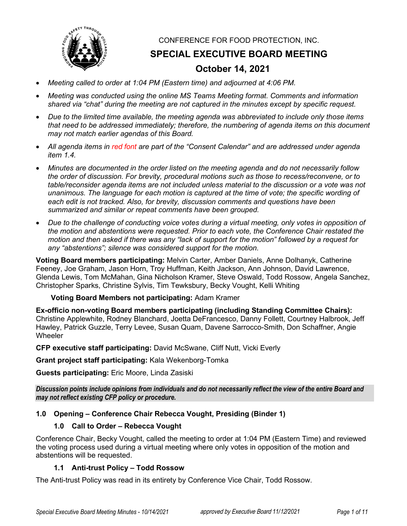

CONFERENCE FOR FOOD PROTECTION, INC.

**SPECIAL EXECUTIVE BOARD MEETING**

# **October 14, 2021**

- *Meeting called to order at 1:04 PM (Eastern time) and adjourned at 4:06 PM.*
- *Meeting was conducted using the online MS Teams Meeting format. Comments and information shared via "chat" during the meeting are not captured in the minutes except by specific request.*
- *Due to the limited time available, the meeting agenda was abbreviated to include only those items that need to be addressed immediately; therefore, the numbering of agenda items on this document may not match earlier agendas of this Board.*
- *All agenda items in red font are part of the "Consent Calendar" and are addressed under agenda item 1.4.*
- *Minutes are documented in the order listed on the meeting agenda and do not necessarily follow the order of discussion. For brevity, procedural motions such as those to recess/reconvene, or to table/reconsider agenda items are not included unless material to the discussion or a vote was not unanimous. The language for each motion is captured at the time of vote; the specific wording of each edit is not tracked. Also, for brevity, discussion comments and questions have been summarized and similar or repeat comments have been grouped.*
- *Due to the challenge of conducting voice votes during a virtual meeting, only votes in opposition of the motion and abstentions were requested. Prior to each vote, the Conference Chair restated the motion and then asked if there was any "lack of support for the motion" followed by a request for any "abstentions"; silence was considered support for the motion.*

**Voting Board members participating:** Melvin Carter, Amber Daniels, Anne Dolhanyk, Catherine Feeney, Joe Graham, Jason Horn, Troy Huffman, Keith Jackson, Ann Johnson, David Lawrence, Glenda Lewis, Tom McMahan, Gina Nicholson Kramer, Steve Oswald, Todd Rossow, Angela Sanchez, Christopher Sparks, Christine Sylvis, Tim Tewksbury, Becky Vought, Kelli Whiting

**Voting Board Members not participating:** Adam Kramer

**Ex-officio non-voting Board members participating (including Standing Committee Chairs):**  Christine Applewhite, Rodney Blanchard, Joetta DeFrancesco, Danny Follett, Courtney Halbrook, Jeff Hawley, Patrick Guzzle, Terry Levee, Susan Quam, Davene Sarrocco-Smith, Don Schaffner, Angie Wheeler

**CFP executive staff participating:** David McSwane, Cliff Nutt, Vicki Everly

**Grant project staff participating:** Kala Wekenborg-Tomka

**Guests participating:** Eric Moore, Linda Zasiski

*Discussion points include opinions from individuals and do not necessarily reflect the view of the entire Board and may not reflect existing CFP policy or procedure.*

# **1.0 Opening – Conference Chair Rebecca Vought, Presiding (Binder 1)**

## **1.0 Call to Order – Rebecca Vought**

Conference Chair, Becky Vought, called the meeting to order at 1:04 PM (Eastern Time) and reviewed the voting process used during a virtual meeting where only votes in opposition of the motion and abstentions will be requested.

# **1.1 Anti-trust Policy – Todd Rossow**

The Anti-trust Policy was read in its entirety by Conference Vice Chair, Todd Rossow.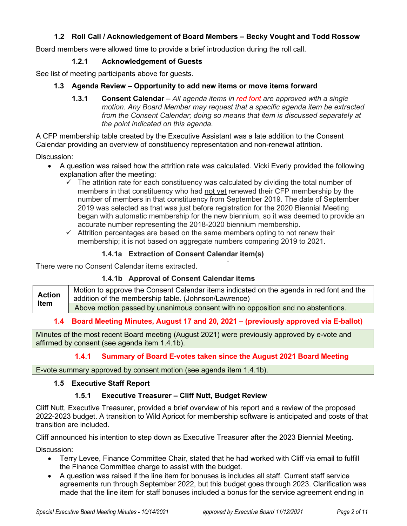# **1.2 Roll Call / Acknowledgement of Board Members – Becky Vought and Todd Rossow**

Board members were allowed time to provide a brief introduction during the roll call.

## **1.2.1 Acknowledgement of Guests**

See list of meeting participants above for guests.

## **1.3 Agenda Review – Opportunity to add new items or move items forward**

**1.3.1 Consent Calendar** – *All agenda items in red font are approved with a single motion. Any Board Member may request that a specific agenda item be extracted*  from the Consent Calendar; doing so means that item is discussed separately at *the point indicated on this agenda.*

A CFP membership table created by the Executive Assistant was a late addition to the Consent Calendar providing an overview of constituency representation and non-renewal attrition.

Discussion:

- A question was raised how the attrition rate was calculated. Vicki Everly provided the following explanation after the meeting:
	- $\checkmark$  The attrition rate for each constituency was calculated by dividing the total number of members in that constituency who had not yet renewed their CFP membership by the number of members in that constituency from September 2019. The date of September 2019 was selected as that was just before registration for the 2020 Biennial Meeting began with automatic membership for the new biennium, so it was deemed to provide an accurate number representing the 2018-2020 biennium membership.
	- $\checkmark$  Attrition percentages are based on the same members opting to not renew their membership; it is not based on aggregate numbers comparing 2019 to 2021.

# **1.4.1a Extraction of Consent Calendar item(s)**

There were no Consent Calendar items extracted.

## **1.4.1b Approval of Consent Calendar items**

**Action Item** Motion to approve the Consent Calendar items indicated on the agenda in red font and the addition of the membership table. (Johnson/Lawrence) Above motion passed by unanimous consent with no opposition and no abstentions.

## **1.4 Board Meeting Minutes, August 17 and 20, 2021 – (previously approved via E-ballot)**

Minutes of the most recent Board meeting (August 2021) were previously approved by e-vote and affirmed by consent (see agenda item 1.4.1b).

## **1.4.1 Summary of Board E-votes taken since the August 2021 Board Meeting**

E-vote summary approved by consent motion (see agenda item 1.4.1b).

## **1.5 Executive Staff Report**

## **1.5.1 Executive Treasurer – Cliff Nutt, Budget Review**

Cliff Nutt, Executive Treasurer, provided a brief overview of his report and a review of the proposed 2022-2023 budget. A transition to Wild Apricot for membership software is anticipated and costs of that transition are included.

Cliff announced his intention to step down as Executive Treasurer after the 2023 Biennial Meeting.

Discussion:

- Terry Levee, Finance Committee Chair, stated that he had worked with Cliff via email to fulfill the Finance Committee charge to assist with the budget.
- A question was raised if the line item for bonuses is includes all staff. Current staff service agreements run through September 2022, but this budget goes through 2023. Clarification was made that the line item for staff bonuses included a bonus for the service agreement ending in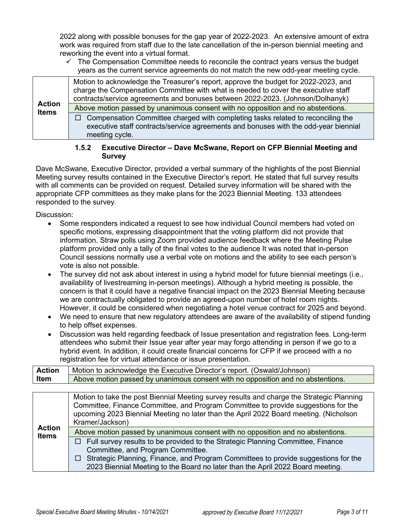2022 along with possible bonuses for the gap year of 2022-2023. An extensive amount of extra work was required from staff due to the late cancellation of the in-person biennial meeting and reworking the event into a virtual format.

 $\checkmark$  The Compensation Committee needs to reconcile the contract years versus the budget years as the current service agreements do not match the new odd-year meeting cycle.

| <b>Action</b><br><b>Items</b> | Motion to acknowledge the Treasurer's report, approve the budget for 2022-2023, and<br>charge the Compensation Committee with what is needed to cover the executive staff<br>contracts/service agreements and bonuses between 2022-2023. (Johnson/Dolhanyk) |
|-------------------------------|-------------------------------------------------------------------------------------------------------------------------------------------------------------------------------------------------------------------------------------------------------------|
|                               | Above motion passed by unanimous consent with no opposition and no abstentions.                                                                                                                                                                             |
|                               | $\Box$ Compensation Committee charged with completing tasks related to reconciling the<br>executive staff contracts/service agreements and bonuses with the odd-year biennial<br>meeting cycle.                                                             |

## **1.5.2 Executive Director – Dave McSwane, Report on CFP Biennial Meeting and Survey**

Dave McSwane, Executive Director, provided a verbal summary of the highlights of the post Biennial Meeting survey results contained in the Executive Director's report. He stated that full survey results with all comments can be provided on request. Detailed survey information will be shared with the appropriate CFP committees as they make plans for the 2023 Biennial Meeting. 133 attendees responded to the survey.

Discussion:

- Some responders indicated a request to see how individual Council members had voted on specific motions, expressing disappointment that the voting platform did not provide that information. Straw polls using Zoom provided audience feedback where the Meeting Pulse platform provided only a tally of the final votes to the audience It was noted that in-person Council sessions normally use a verbal vote on motions and the ability to see each person's vote is also not possible.
- The survey did not ask about interest in using a hybrid model for future biennial meetings (i.e., availability of livestreaming in-person meetings). Although a hybrid meeting is possible, the concern is that it could have a negative financial impact on the 2023 Biennial Meeting because we are contractually obligated to provide an agreed-upon number of hotel room nights. However, it could be considered when negotiating a hotel venue contract for 2025 and beyond.
- We need to ensure that new regulatory attendees are aware of the availability of stipend funding to help offset expenses.
- Discussion was held regarding feedback of Issue presentation and registration fees. Long-term attendees who submit their Issue year after year may forgo attending in person if we go to a hybrid event. In addition, it could create financial concerns for CFP if we proceed with a no registration fee for virtual attendance or issue presentation.

| <b>Action</b> | Motion to acknowledge the Executive Director's report. (Oswald/Johnson)         |
|---------------|---------------------------------------------------------------------------------|
| Item          | Above motion passed by unanimous consent with no opposition and no abstentions. |
|               |                                                                                 |

| <b>Action</b><br><b>Items</b> | Motion to take the post Biennial Meeting survey results and charge the Strategic Planning<br>Committee, Finance Committee, and Program Committee to provide suggestions for the<br>upcoming 2023 Biennial Meeting no later than the April 2022 Board meeting. (Nicholson<br>Kramer/Jackson) |
|-------------------------------|---------------------------------------------------------------------------------------------------------------------------------------------------------------------------------------------------------------------------------------------------------------------------------------------|
|                               | Above motion passed by unanimous consent with no opposition and no abstentions.                                                                                                                                                                                                             |
|                               | $\Box$ Full survey results to be provided to the Strategic Planning Committee, Finance                                                                                                                                                                                                      |
|                               | Committee, and Program Committee.<br>$\Box$ Strategic Planning, Finance, and Program Committees to provide suggestions for the                                                                                                                                                              |
|                               | 2023 Biennial Meeting to the Board no later than the April 2022 Board meeting.                                                                                                                                                                                                              |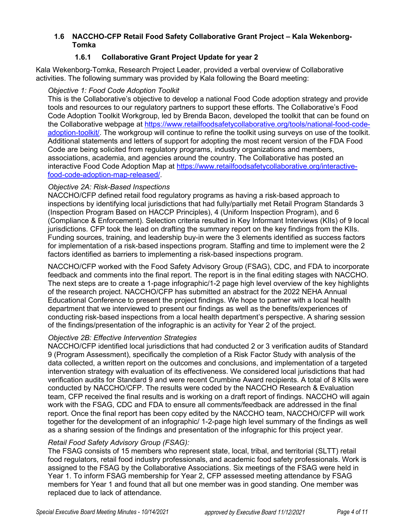# **1.6 NACCHO-CFP Retail Food Safety Collaborative Grant Project – Kala Wekenborg-Tomka**

# **1.6.1 Collaborative Grant Project Update for year 2**

Kala Wekenborg-Tomka, Research Project Leader, provided a verbal overview of Collaborative activities. The following summary was provided by Kala following the Board meeting:

## *Objective 1: Food Code Adoption Toolkit*

This is the Collaborative's objective to develop a national Food Code adoption strategy and provide tools and resources to our regulatory partners to support these efforts. The Collaborative's Food Code Adoption Toolkit Workgroup, led by Brenda Bacon, developed the toolkit that can be found on the Collaborative webpage at [https://www.retailfoodsafetycollaborative.org/tools/national-food-code](https://www.retailfoodsafetycollaborative.org/tools/national-food-code-adoption-toolkit/)[adoption-toolkit/.](https://www.retailfoodsafetycollaborative.org/tools/national-food-code-adoption-toolkit/) The workgroup will continue to refine the toolkit using surveys on use of the toolkit. Additional statements and letters of support for adopting the most recent version of the FDA Food Code are being solicited from regulatory programs, industry organizations and members, associations, academia, and agencies around the country. The Collaborative has posted an interactive Food Code Adoption Map at [https://www.retailfoodsafetycollaborative.org/interactive](https://www.retailfoodsafetycollaborative.org/interactive-food-code-adoption-map-released/)[food-code-adoption-map-released/.](https://www.retailfoodsafetycollaborative.org/interactive-food-code-adoption-map-released/)

## *Objective 2A: Risk-Based Inspections*

NACCHO/CFP defined retail food regulatory programs as having a risk-based approach to inspections by identifying local jurisdictions that had fully/partially met Retail Program Standards 3 (Inspection Program Based on HACCP Principles), 4 (Uniform Inspection Program), and 6 (Compliance & Enforcement). Selection criteria resulted in Key Informant Interviews (KIIs) of 9 local jurisdictions. CFP took the lead on drafting the summary report on the key findings from the KIIs. Funding sources, training, and leadership buy-in were the 3 elements identified as success factors for implementation of a risk-based inspections program. Staffing and time to implement were the 2 factors identified as barriers to implementing a risk-based inspections program.

NACCHO/CFP worked with the Food Safety Advisory Group (FSAG), CDC, and FDA to incorporate feedback and comments into the final report. The report is in the final editing stages with NACCHO. The next steps are to create a 1-page infographic/1-2 page high level overview of the key highlights of the research project. NACCHO/CFP has submitted an abstract for the 2022 NEHA Annual Educational Conference to present the project findings. We hope to partner with a local health department that we interviewed to present our findings as well as the benefits/experiences of conducting risk-based inspections from a local health department's perspective. A sharing session of the findings/presentation of the infographic is an activity for Year 2 of the project.

# *Objective 2B: Effective Intervention Strategies*

NACCHO/CFP identified local jurisdictions that had conducted 2 or 3 verification audits of Standard 9 (Program Assessment), specifically the completion of a Risk Factor Study with analysis of the data collected, a written report on the outcomes and conclusions, and implementation of a targeted intervention strategy with evaluation of its effectiveness. We considered local jurisdictions that had verification audits for Standard 9 and were recent Crumbine Award recipients. A total of 8 KIIs were conducted by NACCHO/CFP. The results were coded by the NACCHO Research & Evaluation team, CFP received the final results and is working on a draft report of findings. NACCHO will again work with the FSAG, CDC and FDA to ensure all comments/feedback are addressed in the final report. Once the final report has been copy edited by the NACCHO team, NACCHO/CFP will work together for the development of an infographic/ 1-2-page high level summary of the findings as well as a sharing session of the findings and presentation of the infographic for this project year.

# *Retail Food Safety Advisory Group (FSAG):*

The FSAG consists of 15 members who represent state, local, tribal, and territorial (SLTT) retail food regulators, retail food industry professionals, and academic food safety professionals. Work is assigned to the FSAG by the Collaborative Associations. Six meetings of the FSAG were held in Year 1. To inform FSAG membership for Year 2, CFP assessed meeting attendance by FSAG members for Year 1 and found that all but one member was in good standing. One member was replaced due to lack of attendance.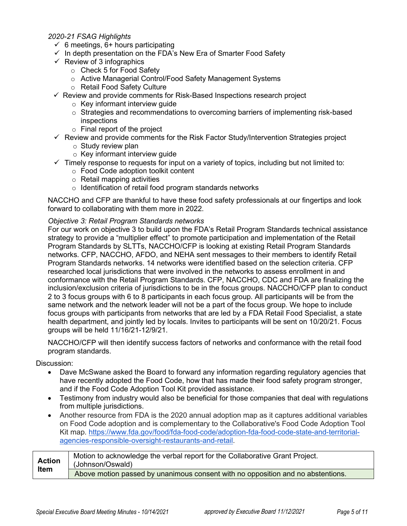## *2020-21 FSAG Highlights*

- $\checkmark$  6 meetings, 6+ hours participating
- $\checkmark$  In depth presentation on the FDA's New Era of Smarter Food Safety
- $\checkmark$  Review of 3 infographics
	- o Check 5 for Food Safety
	- o Active Managerial Control/Food Safety Management Systems
	- o Retail Food Safety Culture
- $\checkmark$  Review and provide comments for Risk-Based Inspections research project
	- $\circ$  Key informant interview quide
	- $\circ$  Strategies and recommendations to overcoming barriers of implementing risk-based inspections
	- o Final report of the project
- $\checkmark$  Review and provide comments for the Risk Factor Study/Intervention Strategies project
	- $\circ$  Study review plan
	- $\circ$  Key informant interview quide
- $\checkmark$  Timely response to requests for input on a variety of topics, including but not limited to:
	- o Food Code adoption toolkit content
	- o Retail mapping activities
	- o Identification of retail food program standards networks

NACCHO and CFP are thankful to have these food safety professionals at our fingertips and look forward to collaborating with them more in 2022.

#### *Objective 3: Retail Program Standards networks*

For our work on objective 3 to build upon the FDA's Retail Program Standards technical assistance strategy to provide a "multiplier effect" to promote participation and implementation of the Retail Program Standards by SLTTs, NACCHO/CFP is looking at existing Retail Program Standards networks. CFP, NACCHO, AFDO, and NEHA sent messages to their members to identify Retail Program Standards networks. 14 networks were identified based on the selection criteria. CFP researched local jurisdictions that were involved in the networks to assess enrollment in and conformance with the Retail Program Standards. CFP, NACCHO, CDC and FDA are finalizing the inclusion/exclusion criteria of jurisdictions to be in the focus groups. NACCHO/CFP plan to conduct 2 to 3 focus groups with 6 to 8 participants in each focus group. All participants will be from the same network and the network leader will not be a part of the focus group. We hope to include focus groups with participants from networks that are led by a FDA Retail Food Specialist, a state health department, and jointly led by locals. Invites to participants will be sent on 10/20/21. Focus groups will be held 11/16/21-12/9/21.

NACCHO/CFP will then identify success factors of networks and conformance with the retail food program standards.

Discussion:

- Dave McSwane asked the Board to forward any information regarding regulatory agencies that have recently adopted the Food Code, how that has made their food safety program stronger, and if the Food Code Adoption Tool Kit provided assistance.
- Testimony from industry would also be beneficial for those companies that deal with regulations from multiple jurisdictions.
- Another resource from FDA is the 2020 annual adoption map as it captures additional variables on Food Code adoption and is complementary to the Collaborative's Food Code Adoption Tool Kit map. [https://www.fda.gov/food/fda-food-code/adoption-fda-food-code-state-and-territorial](https://www.fda.gov/food/fda-food-code/adoption-fda-food-code-state-and-territorial-agencies-responsible-oversight-restaurants-and-retail)[agencies-responsible-oversight-restaurants-and-retail.](https://www.fda.gov/food/fda-food-code/adoption-fda-food-code-state-and-territorial-agencies-responsible-oversight-restaurants-and-retail)

| <b>Action</b><br><b>Item</b> | Motion to acknowledge the verbal report for the Collaborative Grant Project.<br>(Johnson/Oswald) |
|------------------------------|--------------------------------------------------------------------------------------------------|
|                              | Above motion passed by unanimous consent with no opposition and no abstentions.                  |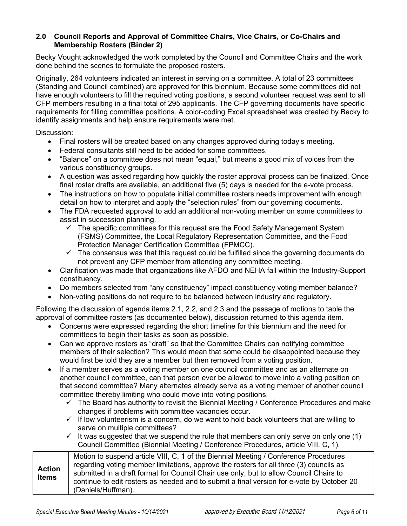## **2.0 Council Reports and Approval of Committee Chairs, Vice Chairs, or Co-Chairs and Membership Rosters (Binder 2)**

Becky Vought acknowledged the work completed by the Council and Committee Chairs and the work done behind the scenes to formulate the proposed rosters.

Originally, 264 volunteers indicated an interest in serving on a committee. A total of 23 committees (Standing and Council combined) are approved for this biennium. Because some committees did not have enough volunteers to fill the required voting positions, a second volunteer request was sent to all CFP members resulting in a final total of 295 applicants. The CFP governing documents have specific requirements for filling committee positions. A color-coding Excel spreadsheet was created by Becky to identify assignments and help ensure requirements were met.

Discussion:

- Final rosters will be created based on any changes approved during today's meeting.
- Federal consultants still need to be added for some committees.
- "Balance" on a committee does not mean "equal," but means a good mix of voices from the various constituency groups.
- A question was asked regarding how quickly the roster approval process can be finalized. Once final roster drafts are available, an additional five (5) days is needed for the e-vote process.
- The instructions on how to populate initial committee rosters needs improvement with enough detail on how to interpret and apply the "selection rules" from our governing documents.
- The FDA requested approval to add an additional non-voting member on some committees to assist in succession planning.
	- $\checkmark$  The specific committees for this request are the Food Safety Management System (FSMS) Committee, the Local Regulatory Representation Committee, and the Food Protection Manager Certification Committee (FPMCC).
	- $\checkmark$  The consensus was that this request could be fulfilled since the governing documents do not prevent any CFP member from attending any committee meeting.
- Clarification was made that organizations like AFDO and NEHA fall within the Industry-Support constituency.
- Do members selected from "any constituency" impact constituency voting member balance?
- Non-voting positions do not require to be balanced between industry and regulatory.

Following the discussion of agenda items 2.1, 2.2, and 2.3 and the passage of motions to table the approval of committee rosters (as documented below), discussion returned to this agenda item.

- Concerns were expressed regarding the short timeline for this biennium and the need for committees to begin their tasks as soon as possible.
- Can we approve rosters as "draft" so that the Committee Chairs can notifying committee members of their selection? This would mean that some could be disappointed because they would first be told they are a member but then removed from a voting position.
- If a member serves as a voting member on one council committee and as an alternate on another council committee, can that person ever be allowed to move into a voting position on that second committee? Many alternates already serve as a voting member of another council committee thereby limiting who could move into voting positions.
	- $\checkmark$  The Board has authority to revisit the Biennial Meeting / Conference Procedures and make changes if problems with committee vacancies occur.
	- $\checkmark$  If low volunteerism is a concern, do we want to hold back volunteers that are willing to serve on multiple committees?
	- $\checkmark$  It was suggested that we suspend the rule that members can only serve on only one (1) Council Committee (Biennial Meeting / Conference Procedures, article VIII, C, 1).

| <b>Action</b><br><b>Items</b> | Motion to suspend article VIII, C, 1 of the Biennial Meeting / Conference Procedures<br>regarding voting member limitations, approve the rosters for all three (3) councils as<br>submitted in a draft format for Council Chair use only, but to allow Council Chairs to<br>continue to edit rosters as needed and to submit a final version for e-vote by October 20<br>(Daniels/Huffman). |
|-------------------------------|---------------------------------------------------------------------------------------------------------------------------------------------------------------------------------------------------------------------------------------------------------------------------------------------------------------------------------------------------------------------------------------------|
|-------------------------------|---------------------------------------------------------------------------------------------------------------------------------------------------------------------------------------------------------------------------------------------------------------------------------------------------------------------------------------------------------------------------------------------|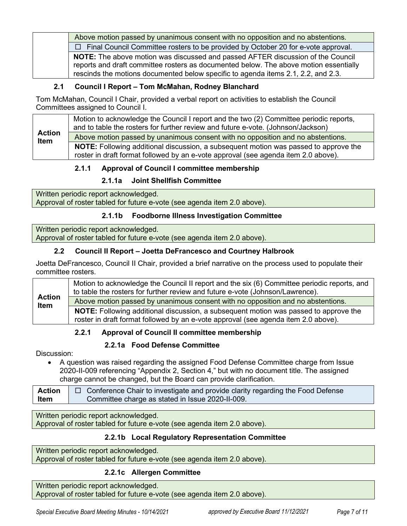Above motion passed by unanimous consent with no opposition and no abstentions. □ Final Council Committee rosters to be provided by October 20 for e-vote approval. **NOTE:** The above motion was discussed and passed AFTER discussion of the Council reports and draft committee rosters as documented below. The above motion essentially rescinds the motions documented below specific to agenda items 2.1, 2.2, and 2.3.

# **2.1 Council I Report – Tom McMahan, Rodney Blanchard**

Tom McMahan, Council I Chair, provided a verbal report on activities to establish the Council Committees assigned to Council I.

| <b>Action</b><br>Item | Motion to acknowledge the Council I report and the two (2) Committee periodic reports,<br>and to table the rosters for further review and future e-vote. (Johnson/Jackson)<br>Above motion passed by unanimous consent with no opposition and no abstentions. |
|-----------------------|---------------------------------------------------------------------------------------------------------------------------------------------------------------------------------------------------------------------------------------------------------------|
|                       | NOTE: Following additional discussion, a subsequent motion was passed to approve the<br>roster in draft format followed by an e-vote approval (see agenda item 2.0 above).                                                                                    |

# **2.1.1 Approval of Council I committee membership**

# **2.1.1a Joint Shellfish Committee**

Written periodic report acknowledged. Approval of roster tabled for future e-vote (see agenda item 2.0 above).

# **2.1.1b Foodborne Illness Investigation Committee**

Written periodic report acknowledged. Approval of roster tabled for future e-vote (see agenda item 2.0 above).

# **2.2 Council II Report – Joetta DeFrancesco and Courtney Halbrook**

Joetta DeFrancesco, Council II Chair, provided a brief narrative on the process used to populate their committee rosters.

| <b>Action</b><br>Item | Motion to acknowledge the Council II report and the six (6) Committee periodic reports, and<br>to table the rosters for further review and future e-vote (Johnson/Lawrence). |
|-----------------------|------------------------------------------------------------------------------------------------------------------------------------------------------------------------------|
|                       | Above motion passed by unanimous consent with no opposition and no abstentions.                                                                                              |
|                       | NOTE: Following additional discussion, a subsequent motion was passed to approve the                                                                                         |
|                       | roster in draft format followed by an e-vote approval (see agenda item 2.0 above).                                                                                           |

# **2.2.1 Approval of Council II committee membership**

# **2.2.1a Food Defense Committee**

Discussion:

• A question was raised regarding the assigned Food Defense Committee charge from Issue 2020-II-009 referencing "Appendix 2, Section 4," but with no document title. The assigned charge cannot be changed, but the Board can provide clarification.

| <b>Action</b> | $\Box$ Conference Chair to investigate and provide clarity regarding the Food Defense |
|---------------|---------------------------------------------------------------------------------------|
| Item          | Committee charge as stated in Issue 2020-II-009.                                      |

Written periodic report acknowledged.

Approval of roster tabled for future e-vote (see agenda item 2.0 above).

# **2.2.1b Local Regulatory Representation Committee**

Written periodic report acknowledged. Approval of roster tabled for future e-vote (see agenda item 2.0 above).

# **2.2.1c Allergen Committee**

Written periodic report acknowledged. Approval of roster tabled for future e-vote (see agenda item 2.0 above).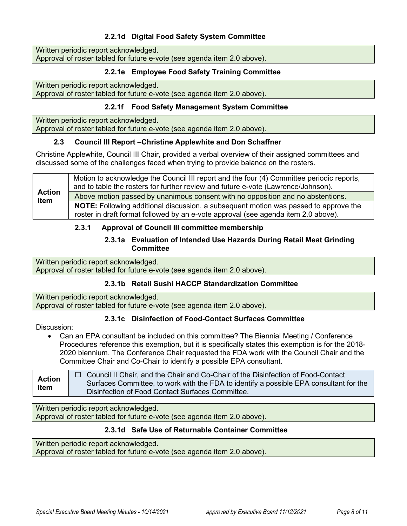# **2.2.1d Digital Food Safety System Committee**

Written periodic report acknowledged. Approval of roster tabled for future e-vote (see agenda item 2.0 above).

# **2.2.1e Employee Food Safety Training Committee**

Written periodic report acknowledged.

# Approval of roster tabled for future e-vote (see agenda item 2.0 above).

## **2.2.1f Food Safety Management System Committee**

Written periodic report acknowledged. Approval of roster tabled for future e-vote (see agenda item 2.0 above).

## **2.3 Council III Report –Christine Applewhite and Don Schaffner**

Christine Applewhite, Council III Chair, provided a verbal overview of their assigned committees and discussed some of the challenges faced when trying to provide balance on the rosters.

| <b>Action</b><br><b>Item</b> | Motion to acknowledge the Council III report and the four (4) Committee periodic reports,<br>and to table the rosters for further review and future e-vote (Lawrence/Johnson).    |
|------------------------------|-----------------------------------------------------------------------------------------------------------------------------------------------------------------------------------|
|                              | Above motion passed by unanimous consent with no opposition and no abstentions.                                                                                                   |
|                              | <b>NOTE:</b> Following additional discussion, a subsequent motion was passed to approve the<br>roster in draft format followed by an e-vote approval (see agenda item 2.0 above). |

# **2.3.1 Approval of Council III committee membership**

## **2.3.1a Evaluation of Intended Use Hazards During Retail Meat Grinding Committee**

Written periodic report acknowledged. Approval of roster tabled for future e-vote (see agenda item 2.0 above).

# **2.3.1b Retail Sushi HACCP Standardization Committee**

Written periodic report acknowledged. Approval of roster tabled for future e-vote (see agenda item 2.0 above).

# **2.3.1c Disinfection of Food-Contact Surfaces Committee**

Discussion:

• Can an EPA consultant be included on this committee? The Biennial Meeting / Conference Procedures reference this exemption, but it is specifically states this exemption is for the 2018- 2020 biennium. The Conference Chair requested the FDA work with the Council Chair and the Committee Chair and Co-Chair to identify a possible EPA consultant.

**Action Item** □ Council II Chair, and the Chair and Co-Chair of the Disinfection of Food-Contact Surfaces Committee, to work with the FDA to identify a possible EPA consultant for the Disinfection of Food Contact Surfaces Committee.

Written periodic report acknowledged. Approval of roster tabled for future e-vote (see agenda item 2.0 above).

# **2.3.1d Safe Use of Returnable Container Committee**

Written periodic report acknowledged. Approval of roster tabled for future e-vote (see agenda item 2.0 above).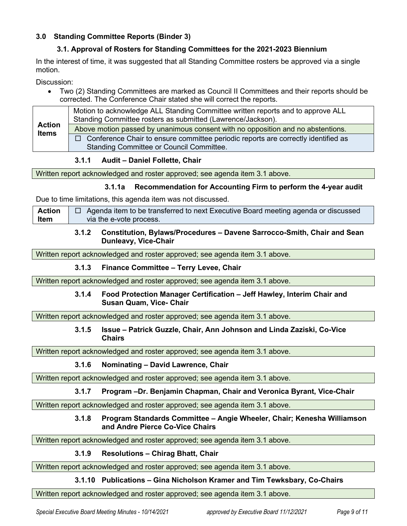# **3.0 Standing Committee Reports (Binder 3)**

# **3.1. Approval of Rosters for Standing Committees for the 2021-2023 Biennium**

In the interest of time, it was suggested that all Standing Committee rosters be approved via a single motion.

Discussion:

• Two (2) Standing Committees are marked as Council II Committees and their reports should be corrected. The Conference Chair stated she will correct the reports.

| Motion to acknowledge ALL Standing Committee written reports and to approve ALL   |
|-----------------------------------------------------------------------------------|
| Above motion passed by unanimous consent with no opposition and no abstentions.   |
| Conference Chair to ensure committee periodic reports are correctly identified as |
|                                                                                   |

## **3.1.1 Audit – Daniel Follette, Chair**

Written report acknowledged and roster approved; see agenda item 3.1 above.

## **3.1.1a Recommendation for Accounting Firm to perform the 4-year audit**

Due to time limitations, this agenda item was not discussed.

**Action Item**  $\Box$  Agenda item to be transferred to next Executive Board meeting agenda or discussed via the e-vote process.

### **3.1.2 Constitution, Bylaws/Procedures – Davene Sarrocco-Smith, Chair and Sean Dunleavy, Vice-Chair**

Written report acknowledged and roster approved; see agenda item 3.1 above.

## **3.1.3 Finance Committee – Terry Levee, Chair**

Written report acknowledged and roster approved; see agenda item 3.1 above.

### **3.1.4 Food Protection Manager Certification – Jeff Hawley, Interim Chair and Susan Quam, Vice- Chair**

Written report acknowledged and roster approved; see agenda item 3.1 above.

## **3.1.5 Issue – Patrick Guzzle, Chair, Ann Johnson and Linda Zaziski, Co-Vice Chairs**

Written report acknowledged and roster approved; see agenda item 3.1 above.

## **3.1.6 Nominating – David Lawrence, Chair**

Written report acknowledged and roster approved; see agenda item 3.1 above.

## **3.1.7 Program –Dr. Benjamin Chapman, Chair and Veronica Byrant, Vice-Chair**

Written report acknowledged and roster approved; see agenda item 3.1 above.

### **3.1.8 Program Standards Committee – Angie Wheeler, Chair; Kenesha Williamson and Andre Pierce Co-Vice Chairs**

Written report acknowledged and roster approved; see agenda item 3.1 above.

## **3.1.9 Resolutions – Chirag Bhatt, Chair**

Written report acknowledged and roster approved; see agenda item 3.1 above.

## **3.1.10 Publications – Gina Nicholson Kramer and Tim Tewksbary, Co-Chairs**

Written report acknowledged and roster approved; see agenda item 3.1 above.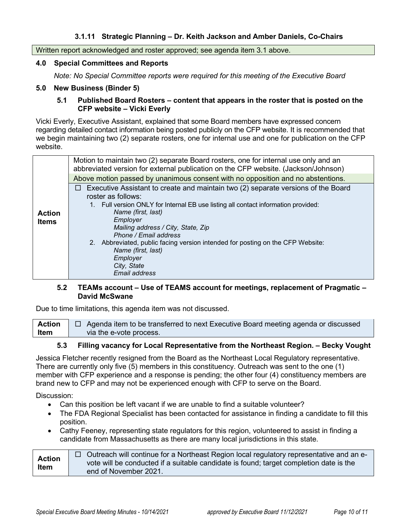Written report acknowledged and roster approved; see agenda item 3.1 above.

#### **4.0 Special Committees and Reports**

*Note: No Special Committee reports were required for this meeting of the Executive Board*

### **5.0 New Business (Binder 5)**

### **5.1 Published Board Rosters – content that appears in the roster that is posted on the CFP website – Vicki Everly**

Vicki Everly, Executive Assistant, explained that some Board members have expressed concern regarding detailed contact information being posted publicly on the CFP website. It is recommended that we begin maintaining two (2) separate rosters, one for internal use and one for publication on the CFP website.

|                               | Motion to maintain two (2) separate Board rosters, one for internal use only and an<br>abbreviated version for external publication on the CFP website. (Jackson/Johnson)                                                                                                                                                               |
|-------------------------------|-----------------------------------------------------------------------------------------------------------------------------------------------------------------------------------------------------------------------------------------------------------------------------------------------------------------------------------------|
|                               | Above motion passed by unanimous consent with no opposition and no abstentions.                                                                                                                                                                                                                                                         |
| <b>Action</b><br><b>Items</b> | $\Box$ Executive Assistant to create and maintain two (2) separate versions of the Board<br>roster as follows:                                                                                                                                                                                                                          |
|                               | 1. Full version ONLY for Internal EB use listing all contact information provided:<br>Name (first, last)<br>Employer<br>Mailing address / City, State, Zip<br>Phone / Email address<br>2. Abbreviated, public facing version intended for posting on the CFP Website:<br>Name (first, last)<br>Employer<br>City, State<br>Email address |

## **5.2 TEAMs account – Use of TEAMS account for meetings, replacement of Pragmatic – David McSwane**

Due to time limitations, this agenda item was not discussed.

**Action Item**  $\Box$  Agenda item to be transferred to next Executive Board meeting agenda or discussed via the e-vote process.

## **5.3 Filling vacancy for Local Representative from the Northeast Region. – Becky Vought**

Jessica Fletcher recently resigned from the Board as the Northeast Local Regulatory representative. There are currently only five (5) members in this constituency. Outreach was sent to the one (1) member with CFP experience and a response is pending; the other four (4) constituency members are brand new to CFP and may not be experienced enough with CFP to serve on the Board.

Discussion:

- Can this position be left vacant if we are unable to find a suitable volunteer?
- The FDA Regional Specialist has been contacted for assistance in finding a candidate to fill this position.
- Cathy Feeney, representing state regulators for this region, volunteered to assist in finding a candidate from Massachusetts as there are many local jurisdictions in this state.

**Action Item**  $\Box$  Outreach will continue for a Northeast Region local regulatory representative and an evote will be conducted if a suitable candidate is found; target completion date is the end of November 2021.